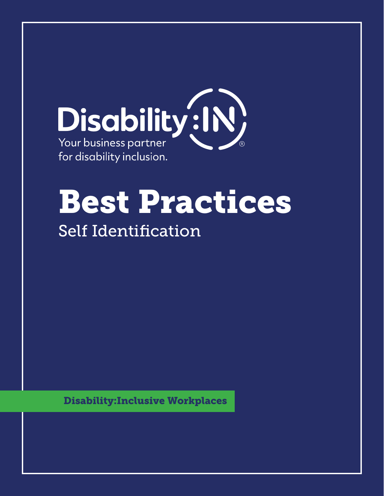

# Best Practices

# Self Identification

Disability:Inclusive Workplaces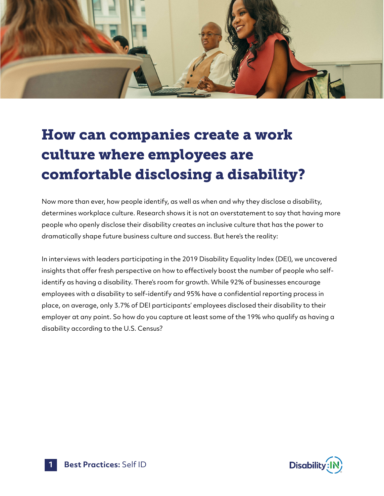

# How can companies create a work culture where employees are comfortable disclosing a disability?

Now more than ever, how people identify, as well as when and why they disclose a disability, determines workplace culture. Research shows it is not an overstatement to say that having more people who openly disclose their disability creates an inclusive culture that has the power to dramatically shape future business culture and success. But here's the reality:

In interviews with leaders participating in the 2019 Disability Equality Index (DEI), we uncovered insights that offer fresh perspective on how to effectively boost the number of people who selfidentify as having a disability. There's room for growth. While 92% of businesses encourage employees with a disability to self-identify and 95% have a confidential reporting process in place, on average, only 3.7% of DEI participants' employees disclosed their disability to their employer at any point. So how do you capture at least some of the 19% who qualify as having a disability according to the U.S. Census?

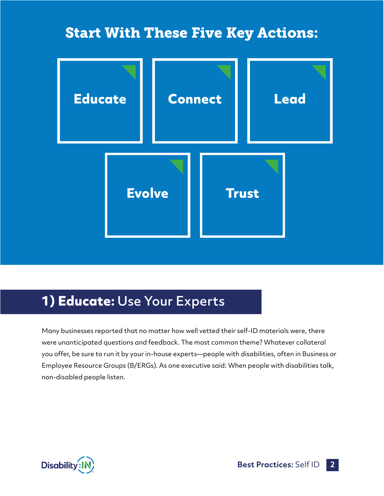#### Start With These Five Key Actions:



#### **1) Educate:** Use Your Experts

Many businesses reported that no matter how well vetted their self-ID materials were, there were unanticipated questions and feedback. The most common theme? Whatever collateral you offer, be sure to run it by your in-house experts—people with disabilities, often in Business or Employee Resource Groups (B/ERGs). As one executive said: When people with disabilities talk, non-disabled people listen.



**Best Practices:** Self ID **2**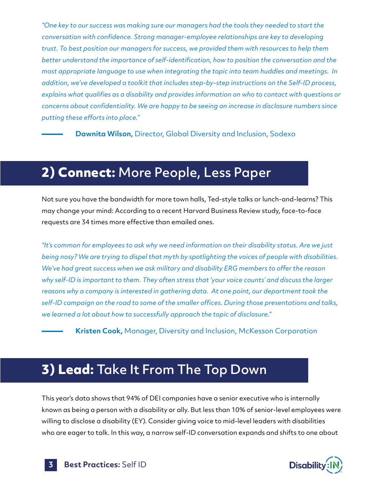*"One key to our success was making sure our managers had the tools they needed to start the conversation with confidence. Strong manager-employee relationships are key to developing trust. To best position our managers for success, we provided them with resources to help them better understand the importance of self-identification, how to position the conversation and the most appropriate language to use when integrating the topic into team huddles and meetings. In addition, we've developed a toolkit that includes step-by-step instructions on the Self-ID process, explains what qualifies as a disability and provides information on who to contact with questions or concerns about confidentiality. We are happy to be seeing an increase in disclosure numbers since putting these efforts into place."* 

**Dawnita Wilson,** Director, Global Diversity and Inclusion, Sodexo

#### **2) Connect:** More People, Less Paper

Not sure you have the bandwidth for more town halls, Ted-style talks or lunch-and-learns? This may change your mind: According to a recent Harvard Business Review study, face-to-face requests are 34 times more effective than emailed ones.

*"It's common for employees to ask why we need information on their disability status. Are we just being nosy? We are trying to dispel that myth by spotlighting the voices of people with disabilities. We've had great success when we ask military and disability ERG members to offer the reason why self-ID is important to them. They often stress that 'your voice counts' and discuss the larger reasons why a company is interested in gathering data. At one point, our department took the self-ID campaign on the road to some of the smaller offices. During those presentations and talks, we learned a lot about how to successfully approach the topic of disclosure."* 

**Kristen Cook,** Manager, Diversity and Inclusion, McKesson Corporation

#### **3) Lead:** Take It From The Top Down

This year's data shows that 94% of DEI companies have a senior executive who is internally known as being a person with a disability or ally. But less than 10% of senior-level employees were willing to disclose a disability (EY). Consider giving voice to mid-level leaders with disabilities who are eager to talk. In this way, a narrow self-ID conversation expands and shifts to one about

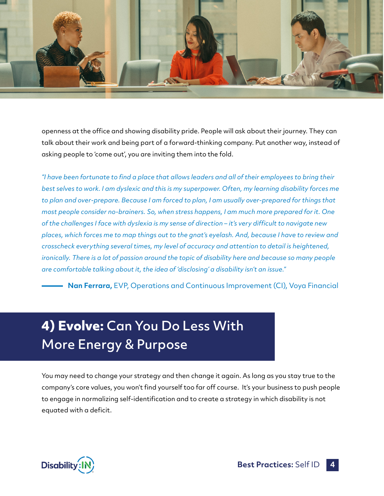

openness at the office and showing disability pride. People will ask about their journey. They can talk about their work and being part of a forward-thinking company. Put another way, instead of asking people to 'come out', you are inviting them into the fold.

*"I have been fortunate to find a place that allows leaders and all of their employees to bring their best selves to work. I am dyslexic and this is my superpower. Often, my learning disability forces me to plan and over-prepare. Because I am forced to plan, I am usually over-prepared for things that most people consider no-brainers. So, when stress happens, I am much more prepared for it. One of the challenges I face with dyslexia is my sense of direction – it's very difficult to navigate new places, which forces me to map things out to the gnat's eyelash. And, because I have to review and crosscheck everything several times, my level of accuracy and attention to detail is heightened, ironically. There is a lot of passion around the topic of disability here and because so many people are comfortable talking about it, the idea of 'disclosing' a disability isn't an issue."* 

**Nan Ferrara,** EVP, Operations and Continuous Improvement (CI), Voya Financial

### **4) Evolve:** Can You Do Less With More Energy & Purpose

You may need to change your strategy and then change it again. As long as you stay true to the company's core values, you won't find yourself too far off course. It's your business to push people to engage in normalizing self-identification and to create a strategy in which disability is not equated with a deficit.

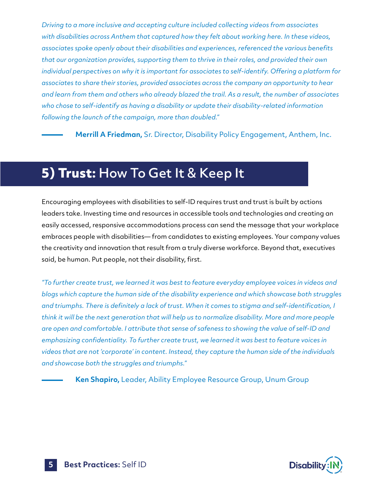*Driving to a more inclusive and accepting culture included collecting videos from associates with disabilities across Anthem that captured how they felt about working here. In these videos, associates spoke openly about their disabilities and experiences, referenced the various benefits that our organization provides, supporting them to thrive in their roles, and provided their own individual perspectives on why it is important for associates to self-identify. Offering a platform for associates to share their stories, provided associates across the company an opportunity to hear and learn from them and others who already blazed the trail. As a result, the number of associates who chose to self-identify as having a disability or update their disability-related information following the launch of the campaign, more than doubled."* 

**Merrill A Friedman,** Sr. Director, Disability Policy Engagement, Anthem, Inc.

#### **5) Trust:** How To Get It & Keep It

Encouraging employees with disabilities to self-ID requires trust and trust is built by actions leaders take. Investing time and resources in accessible tools and technologies and creating an easily accessed, responsive accommodations process can send the message that your workplace embraces people with disabilities— from candidates to existing employees. Your company values the creativity and innovation that result from a truly diverse workforce. Beyond that, executives said, be human. Put people, not their disability, first.

*"To further create trust, we learned it was best to feature everyday employee voices in videos and blogs which capture the human side of the disability experience and which showcase both struggles and triumphs. There is definitely a lack of trust. When it comes to stigma and self-identification, I think it will be the next generation that will help us to normalize disability. More and more people are open and comfortable. I attribute that sense of safeness to showing the value of self-ID and emphasizing confidentiality. To further create trust, we learned it was best to feature voices in videos that are not 'corporate' in content. Instead, they capture the human side of the individuals and showcase both the struggles and triumphs."* 

**Ken Shapiro,** Leader, Ability Employee Resource Group, Unum Group

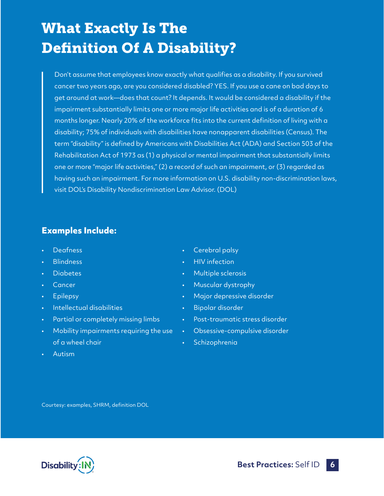## What Exactly Is The Definition Of A Disability?

Don't assume that employees know exactly what qualifies as a disability. If you survived cancer two years ago, are you considered disabled? YES. If you use a cane on bad days to get around at work—does that count? It depends. It would be considered a disability if the impairment substantially limits one or more major life activities and is of a duration of 6 months longer. Nearly 20% of the workforce fits into the current definition of living with a disability; 75% of individuals with disabilities have nonapparent disabilities (Census). The term "disability" is defined by Americans with Disabilities Act (ADA) and Section 503 of the Rehabilitation Act of 1973 as (1) a physical or mental impairment that substantially limits one or more "major life activities," (2) a record of such an impairment, or (3) regarded as having such an impairment. For more information on U.S. disability non-discrimination laws, visit DOL's Disability Nondiscrimination Law Advisor. (DOL)

#### **Examples Include:**

- **Deafness**
- **Blindness**
- **Diabetes**
- **Cancer**
- **Epilepsy**
- • Intellectual disabilities
- Partial or completely missing limbs
- Mobility impairments requiring the use of a wheel chair
- Cerebral palsy
- HIV infection
- Multiple sclerosis
- • Muscular dystrophy
- • Major depressive disorder
- • Bipolar disorder
- Post-traumatic stress disorder
- • Obsessive-compulsive disorder
- **Schizophrenia**

• Autism

Courtesy: examples, SHRM, definition DOL